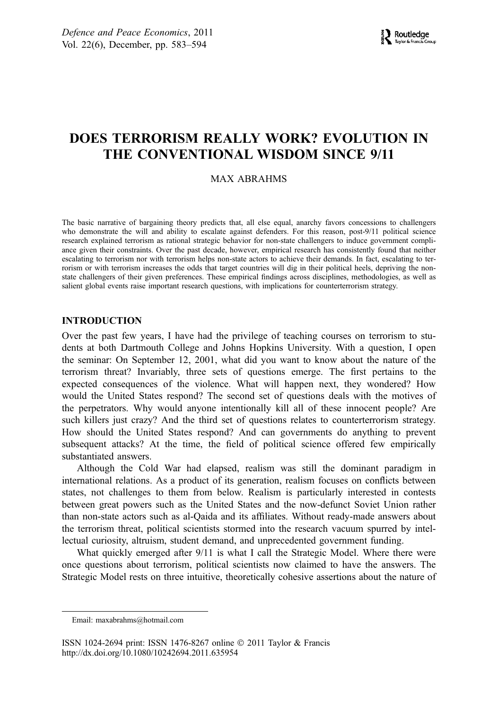# DOES TERRORISM REALLY WORK? EVOLUTION IN THE CONVENTIONAL WISDOM SINCE 9/11

## MAX ABRAHMS

The basic narrative of bargaining theory predicts that, all else equal, anarchy favors concessions to challengers who demonstrate the will and ability to escalate against defenders. For this reason, post-9/11 political science research explained terrorism as rational strategic behavior for non-state challengers to induce government compliance given their constraints. Over the past decade, however, empirical research has consistently found that neither escalating to terrorism nor with terrorism helps non-state actors to achieve their demands. In fact, escalating to terrorism or with terrorism increases the odds that target countries will dig in their political heels, depriving the nonstate challengers of their given preferences. These empirical findings across disciplines, methodologies, as well as salient global events raise important research questions, with implications for counterterrorism strategy.

## INTRODUCTION

Over the past few years, I have had the privilege of teaching courses on terrorism to students at both Dartmouth College and Johns Hopkins University. With a question, I open the seminar: On September 12, 2001, what did you want to know about the nature of the terrorism threat? Invariably, three sets of questions emerge. The first pertains to the expected consequences of the violence. What will happen next, they wondered? How would the United States respond? The second set of questions deals with the motives of the perpetrators. Why would anyone intentionally kill all of these innocent people? Are such killers just crazy? And the third set of questions relates to counterterrorism strategy. How should the United States respond? And can governments do anything to prevent subsequent attacks? At the time, the field of political science offered few empirically substantiated answers.

Although the Cold War had elapsed, realism was still the dominant paradigm in international relations. As a product of its generation, realism focuses on conflicts between states, not challenges to them from below. Realism is particularly interested in contests between great powers such as the United States and the now-defunct Soviet Union rather than non-state actors such as al-Qaida and its affiliates. Without ready-made answers about the terrorism threat, political scientists stormed into the research vacuum spurred by intellectual curiosity, altruism, student demand, and unprecedented government funding.

What quickly emerged after  $9/11$  is what I call the Strategic Model. Where there were once questions about terrorism, political scientists now claimed to have the answers. The Strategic Model rests on three intuitive, theoretically cohesive assertions about the nature of

Email: maxabrahms@hotmail.com

ISSN 1024-2694 print: ISSN 1476-8267 online 2011 Taylor & Francis http://dx.doi.org/10.1080/10242694.2011.635954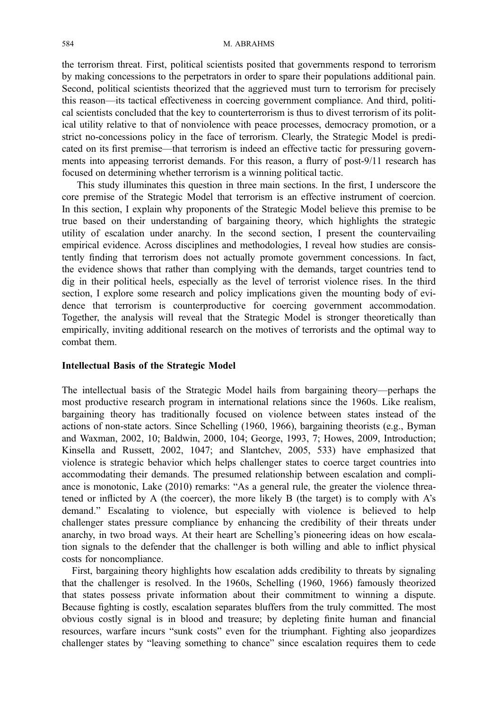the terrorism threat. First, political scientists posited that governments respond to terrorism by making concessions to the perpetrators in order to spare their populations additional pain. Second, political scientists theorized that the aggrieved must turn to terrorism for precisely this reason—its tactical effectiveness in coercing government compliance. And third, political scientists concluded that the key to counterterrorism is thus to divest terrorism of its political utility relative to that of nonviolence with peace processes, democracy promotion, or a strict no-concessions policy in the face of terrorism. Clearly, the Strategic Model is predicated on its first premise—that terrorism is indeed an effective tactic for pressuring governments into appeasing terrorist demands. For this reason, a flurry of post-9/11 research has focused on determining whether terrorism is a winning political tactic.

This study illuminates this question in three main sections. In the first, I underscore the core premise of the Strategic Model that terrorism is an effective instrument of coercion. In this section, I explain why proponents of the Strategic Model believe this premise to be true based on their understanding of bargaining theory, which highlights the strategic utility of escalation under anarchy. In the second section, I present the countervailing empirical evidence. Across disciplines and methodologies, I reveal how studies are consistently finding that terrorism does not actually promote government concessions. In fact, the evidence shows that rather than complying with the demands, target countries tend to dig in their political heels, especially as the level of terrorist violence rises. In the third section, I explore some research and policy implications given the mounting body of evidence that terrorism is counterproductive for coercing government accommodation. Together, the analysis will reveal that the Strategic Model is stronger theoretically than empirically, inviting additional research on the motives of terrorists and the optimal way to combat them.

## Intellectual Basis of the Strategic Model

The intellectual basis of the Strategic Model hails from bargaining theory—perhaps the most productive research program in international relations since the 1960s. Like realism, bargaining theory has traditionally focused on violence between states instead of the actions of non-state actors. Since Schelling (1960, 1966), bargaining theorists (e.g., Byman and Waxman, 2002, 10; Baldwin, 2000, 104; George, 1993, 7; Howes, 2009, Introduction; Kinsella and Russett, 2002, 1047; and Slantchev, 2005, 533) have emphasized that violence is strategic behavior which helps challenger states to coerce target countries into accommodating their demands. The presumed relationship between escalation and compliance is monotonic, Lake (2010) remarks: "As a general rule, the greater the violence threatened or inflicted by A (the coercer), the more likely B (the target) is to comply with A's demand." Escalating to violence, but especially with violence is believed to help challenger states pressure compliance by enhancing the credibility of their threats under anarchy, in two broad ways. At their heart are Schelling's pioneering ideas on how escalation signals to the defender that the challenger is both willing and able to inflict physical costs for noncompliance.

First, bargaining theory highlights how escalation adds credibility to threats by signaling that the challenger is resolved. In the 1960s, Schelling (1960, 1966) famously theorized that states possess private information about their commitment to winning a dispute. Because fighting is costly, escalation separates bluffers from the truly committed. The most obvious costly signal is in blood and treasure; by depleting finite human and financial resources, warfare incurs "sunk costs" even for the triumphant. Fighting also jeopardizes challenger states by "leaving something to chance" since escalation requires them to cede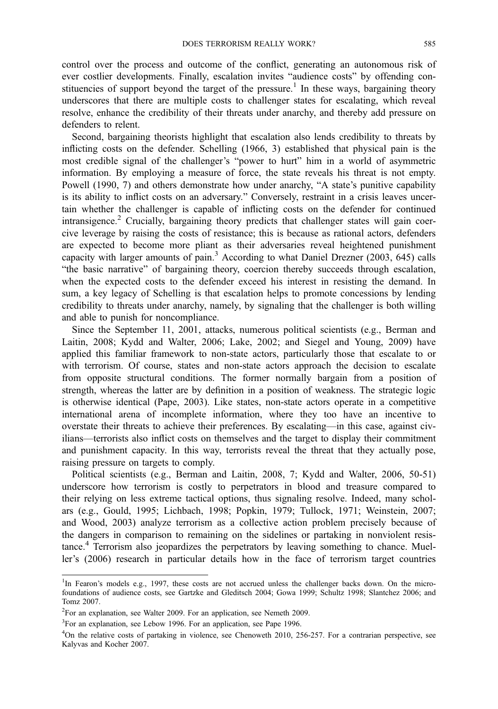control over the process and outcome of the conflict, generating an autonomous risk of ever costlier developments. Finally, escalation invites "audience costs" by offending constituencies of support beyond the target of the pressure.<sup>1</sup> In these ways, bargaining theory underscores that there are multiple costs to challenger states for escalating, which reveal resolve, enhance the credibility of their threats under anarchy, and thereby add pressure on defenders to relent.

Second, bargaining theorists highlight that escalation also lends credibility to threats by inflicting costs on the defender. Schelling (1966, 3) established that physical pain is the most credible signal of the challenger's "power to hurt" him in a world of asymmetric information. By employing a measure of force, the state reveals his threat is not empty. Powell (1990, 7) and others demonstrate how under anarchy, "A state's punitive capability is its ability to inflict costs on an adversary." Conversely, restraint in a crisis leaves uncertain whether the challenger is capable of inflicting costs on the defender for continued intransigence.<sup>2</sup> Crucially, bargaining theory predicts that challenger states will gain coercive leverage by raising the costs of resistance; this is because as rational actors, defenders are expected to become more pliant as their adversaries reveal heightened punishment capacity with larger amounts of pain.<sup>3</sup> According to what Daniel Drezner (2003, 645) calls "the basic narrative" of bargaining theory, coercion thereby succeeds through escalation, when the expected costs to the defender exceed his interest in resisting the demand. In sum, a key legacy of Schelling is that escalation helps to promote concessions by lending credibility to threats under anarchy, namely, by signaling that the challenger is both willing and able to punish for noncompliance.

Since the September 11, 2001, attacks, numerous political scientists (e.g., Berman and Laitin, 2008; Kydd and Walter, 2006; Lake, 2002; and Siegel and Young, 2009) have applied this familiar framework to non-state actors, particularly those that escalate to or with terrorism. Of course, states and non-state actors approach the decision to escalate from opposite structural conditions. The former normally bargain from a position of strength, whereas the latter are by definition in a position of weakness. The strategic logic is otherwise identical (Pape, 2003). Like states, non-state actors operate in a competitive international arena of incomplete information, where they too have an incentive to overstate their threats to achieve their preferences. By escalating—in this case, against civilians—terrorists also inflict costs on themselves and the target to display their commitment and punishment capacity. In this way, terrorists reveal the threat that they actually pose, raising pressure on targets to comply.

Political scientists (e.g., Berman and Laitin, 2008, 7; Kydd and Walter, 2006, 50-51) underscore how terrorism is costly to perpetrators in blood and treasure compared to their relying on less extreme tactical options, thus signaling resolve. Indeed, many scholars (e.g., Gould, 1995; Lichbach, 1998; Popkin, 1979; Tullock, 1971; Weinstein, 2007; and Wood, 2003) analyze terrorism as a collective action problem precisely because of the dangers in comparison to remaining on the sidelines or partaking in nonviolent resistance.<sup>4</sup> Terrorism also jeopardizes the perpetrators by leaving something to chance. Mueller's (2006) research in particular details how in the face of terrorism target countries

<sup>&</sup>lt;sup>1</sup>In Fearon's models e.g., 1997, these costs are not accrued unless the challenger backs down. On the microfoundations of audience costs, see Gartzke and Gleditsch 2004; Gowa 1999; Schultz 1998; Slantchez 2006; and Tomz 2007.

 $2^2$ For an explanation, see Walter 2009. For an application, see Nemeth 2009.

<sup>&</sup>lt;sup>3</sup>For an explanation, see Lebow 1996. For an application, see Pape 1996.

<sup>&</sup>lt;sup>4</sup>On the relative costs of partaking in violence, see Chenoweth 2010, 256-257. For a contrarian perspective, see Kalyvas and Kocher 2007.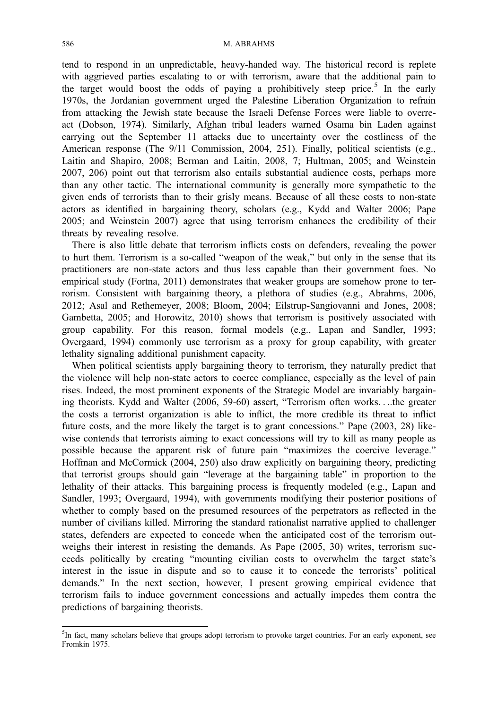tend to respond in an unpredictable, heavy-handed way. The historical record is replete with aggrieved parties escalating to or with terrorism, aware that the additional pain to the target would boost the odds of paying a prohibitively steep price.<sup>5</sup> In the early 1970s, the Jordanian government urged the Palestine Liberation Organization to refrain from attacking the Jewish state because the Israeli Defense Forces were liable to overreact (Dobson, 1974). Similarly, Afghan tribal leaders warned Osama bin Laden against carrying out the September 11 attacks due to uncertainty over the costliness of the American response (The 9/11 Commission, 2004, 251). Finally, political scientists (e.g., Laitin and Shapiro, 2008; Berman and Laitin, 2008, 7; Hultman, 2005; and Weinstein 2007, 206) point out that terrorism also entails substantial audience costs, perhaps more than any other tactic. The international community is generally more sympathetic to the given ends of terrorists than to their grisly means. Because of all these costs to non-state actors as identified in bargaining theory, scholars (e.g., Kydd and Walter 2006; Pape 2005; and Weinstein 2007) agree that using terrorism enhances the credibility of their threats by revealing resolve.

There is also little debate that terrorism inflicts costs on defenders, revealing the power to hurt them. Terrorism is a so-called "weapon of the weak," but only in the sense that its practitioners are non-state actors and thus less capable than their government foes. No empirical study (Fortna, 2011) demonstrates that weaker groups are somehow prone to terrorism. Consistent with bargaining theory, a plethora of studies (e.g., Abrahms, 2006, 2012; Asal and Rethemeyer, 2008; Bloom, 2004; Eilstrup-Sangiovanni and Jones, 2008; Gambetta, 2005; and Horowitz, 2010) shows that terrorism is positively associated with group capability. For this reason, formal models (e.g., Lapan and Sandler, 1993; Overgaard, 1994) commonly use terrorism as a proxy for group capability, with greater lethality signaling additional punishment capacity.

When political scientists apply bargaining theory to terrorism, they naturally predict that the violence will help non-state actors to coerce compliance, especially as the level of pain rises. Indeed, the most prominent exponents of the Strategic Model are invariably bargaining theorists. Kydd and Walter (2006, 59-60) assert, "Terrorism often works....the greater the costs a terrorist organization is able to inflict, the more credible its threat to inflict future costs, and the more likely the target is to grant concessions." Pape (2003, 28) likewise contends that terrorists aiming to exact concessions will try to kill as many people as possible because the apparent risk of future pain "maximizes the coercive leverage." Hoffman and McCormick (2004, 250) also draw explicitly on bargaining theory, predicting that terrorist groups should gain "leverage at the bargaining table" in proportion to the lethality of their attacks. This bargaining process is frequently modeled (e.g., Lapan and Sandler, 1993; Overgaard, 1994), with governments modifying their posterior positions of whether to comply based on the presumed resources of the perpetrators as reflected in the number of civilians killed. Mirroring the standard rationalist narrative applied to challenger states, defenders are expected to concede when the anticipated cost of the terrorism outweighs their interest in resisting the demands. As Pape (2005, 30) writes, terrorism succeeds politically by creating "mounting civilian costs to overwhelm the target state's interest in the issue in dispute and so to cause it to concede the terrorists' political demands." In the next section, however, I present growing empirical evidence that terrorism fails to induce government concessions and actually impedes them contra the predictions of bargaining theorists.

<sup>&</sup>lt;sup>5</sup>In fact, many scholars believe that groups adopt terrorism to provoke target countries. For an early exponent, see Fromkin 1975.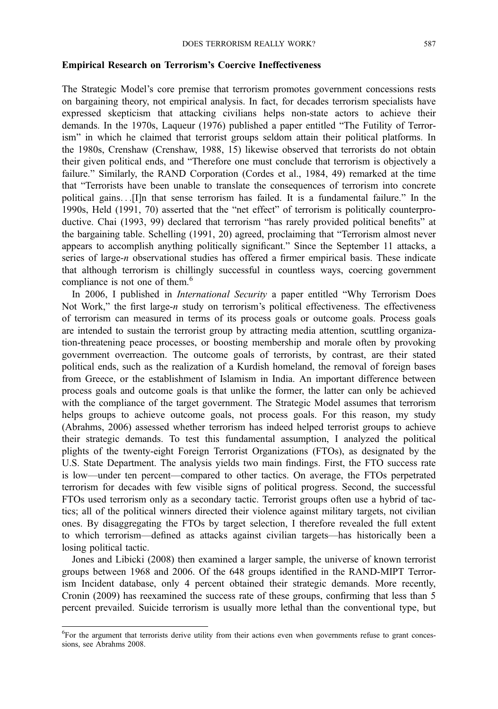### Empirical Research on Terrorism's Coercive Ineffectiveness

The Strategic Model's core premise that terrorism promotes government concessions rests on bargaining theory, not empirical analysis. In fact, for decades terrorism specialists have expressed skepticism that attacking civilians helps non-state actors to achieve their demands. In the 1970s, Laqueur (1976) published a paper entitled "The Futility of Terrorism" in which he claimed that terrorist groups seldom attain their political platforms. In the 1980s, Crenshaw (Crenshaw, 1988, 15) likewise observed that terrorists do not obtain their given political ends, and "Therefore one must conclude that terrorism is objectively a failure." Similarly, the RAND Corporation (Cordes et al., 1984, 49) remarked at the time that "Terrorists have been unable to translate the consequences of terrorism into concrete political gains...[I]n that sense terrorism has failed. It is a fundamental failure." In the 1990s, Held (1991, 70) asserted that the "net effect" of terrorism is politically counterproductive. Chai (1993, 99) declared that terrorism "has rarely provided political benefits" at the bargaining table. Schelling (1991, 20) agreed, proclaiming that "Terrorism almost never appears to accomplish anything politically significant." Since the September 11 attacks, a series of large-n observational studies has offered a firmer empirical basis. These indicate that although terrorism is chillingly successful in countless ways, coercing government compliance is not one of them.<sup>6</sup>

In 2006, I published in *International Security* a paper entitled "Why Terrorism Does Not Work," the first large-n study on terrorism's political effectiveness. The effectiveness of terrorism can measured in terms of its process goals or outcome goals. Process goals are intended to sustain the terrorist group by attracting media attention, scuttling organization-threatening peace processes, or boosting membership and morale often by provoking government overreaction. The outcome goals of terrorists, by contrast, are their stated political ends, such as the realization of a Kurdish homeland, the removal of foreign bases from Greece, or the establishment of Islamism in India. An important difference between process goals and outcome goals is that unlike the former, the latter can only be achieved with the compliance of the target government. The Strategic Model assumes that terrorism helps groups to achieve outcome goals, not process goals. For this reason, my study (Abrahms, 2006) assessed whether terrorism has indeed helped terrorist groups to achieve their strategic demands. To test this fundamental assumption, I analyzed the political plights of the twenty-eight Foreign Terrorist Organizations (FTOs), as designated by the U.S. State Department. The analysis yields two main findings. First, the FTO success rate is low—under ten percent—compared to other tactics. On average, the FTOs perpetrated terrorism for decades with few visible signs of political progress. Second, the successful FTOs used terrorism only as a secondary tactic. Terrorist groups often use a hybrid of tactics; all of the political winners directed their violence against military targets, not civilian ones. By disaggregating the FTOs by target selection, I therefore revealed the full extent to which terrorism—defined as attacks against civilian targets—has historically been a losing political tactic.

Jones and Libicki (2008) then examined a larger sample, the universe of known terrorist groups between 1968 and 2006. Of the 648 groups identified in the RAND-MIPT Terrorism Incident database, only 4 percent obtained their strategic demands. More recently, Cronin (2009) has reexamined the success rate of these groups, confirming that less than 5 percent prevailed. Suicide terrorism is usually more lethal than the conventional type, but

<sup>&</sup>lt;sup>6</sup>For the argument that terrorists derive utility from their actions even when governments refuse to grant concessions, see Abrahms 2008.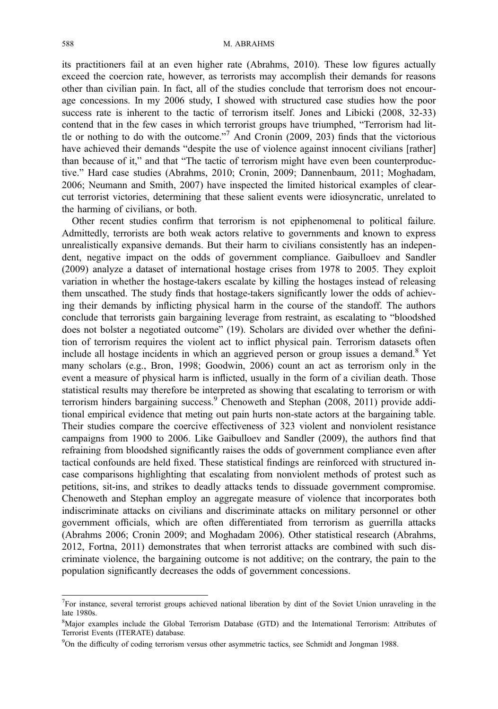its practitioners fail at an even higher rate (Abrahms, 2010). These low figures actually exceed the coercion rate, however, as terrorists may accomplish their demands for reasons other than civilian pain. In fact, all of the studies conclude that terrorism does not encourage concessions. In my 2006 study, I showed with structured case studies how the poor success rate is inherent to the tactic of terrorism itself. Jones and Libicki (2008, 32-33) contend that in the few cases in which terrorist groups have triumphed, "Terrorism had little or nothing to do with the outcome." <sup>7</sup> And Cronin (2009, 203) finds that the victorious have achieved their demands "despite the use of violence against innocent civilians [rather] than because of it," and that "The tactic of terrorism might have even been counterproductive." Hard case studies (Abrahms, 2010; Cronin, 2009; Dannenbaum, 2011; Moghadam, 2006; Neumann and Smith, 2007) have inspected the limited historical examples of clearcut terrorist victories, determining that these salient events were idiosyncratic, unrelated to the harming of civilians, or both.

Other recent studies confirm that terrorism is not epiphenomenal to political failure. Admittedly, terrorists are both weak actors relative to governments and known to express unrealistically expansive demands. But their harm to civilians consistently has an independent, negative impact on the odds of government compliance. Gaibulloev and Sandler (2009) analyze a dataset of international hostage crises from 1978 to 2005. They exploit variation in whether the hostage-takers escalate by killing the hostages instead of releasing them unscathed. The study finds that hostage-takers significantly lower the odds of achieving their demands by inflicting physical harm in the course of the standoff. The authors conclude that terrorists gain bargaining leverage from restraint, as escalating to "bloodshed does not bolster a negotiated outcome" (19). Scholars are divided over whether the definition of terrorism requires the violent act to inflict physical pain. Terrorism datasets often include all hostage incidents in which an aggrieved person or group issues a demand.<sup>8</sup> Yet many scholars (e.g., Bron, 1998; Goodwin, 2006) count an act as terrorism only in the event a measure of physical harm is inflicted, usually in the form of a civilian death. Those statistical results may therefore be interpreted as showing that escalating to terrorism or with terrorism hinders bargaining success.<sup>9</sup> Chenoweth and Stephan (2008, 2011) provide additional empirical evidence that meting out pain hurts non-state actors at the bargaining table. Their studies compare the coercive effectiveness of 323 violent and nonviolent resistance campaigns from 1900 to 2006. Like Gaibulloev and Sandler (2009), the authors find that refraining from bloodshed significantly raises the odds of government compliance even after tactical confounds are held fixed. These statistical findings are reinforced with structured incase comparisons highlighting that escalating from nonviolent methods of protest such as petitions, sit-ins, and strikes to deadly attacks tends to dissuade government compromise. Chenoweth and Stephan employ an aggregate measure of violence that incorporates both indiscriminate attacks on civilians and discriminate attacks on military personnel or other government officials, which are often differentiated from terrorism as guerrilla attacks (Abrahms 2006; Cronin 2009; and Moghadam 2006). Other statistical research (Abrahms, 2012, Fortna, 2011) demonstrates that when terrorist attacks are combined with such discriminate violence, the bargaining outcome is not additive; on the contrary, the pain to the population significantly decreases the odds of government concessions.

<sup>7</sup> For instance, several terrorist groups achieved national liberation by dint of the Soviet Union unraveling in the late 1980s.

<sup>8</sup> Major examples include the Global Terrorism Database (GTD) and the International Terrorism: Attributes of Terrorist Events (ITERATE) database.

<sup>&</sup>lt;sup>9</sup>On the difficulty of coding terrorism versus other asymmetric tactics, see Schmidt and Jongman 1988.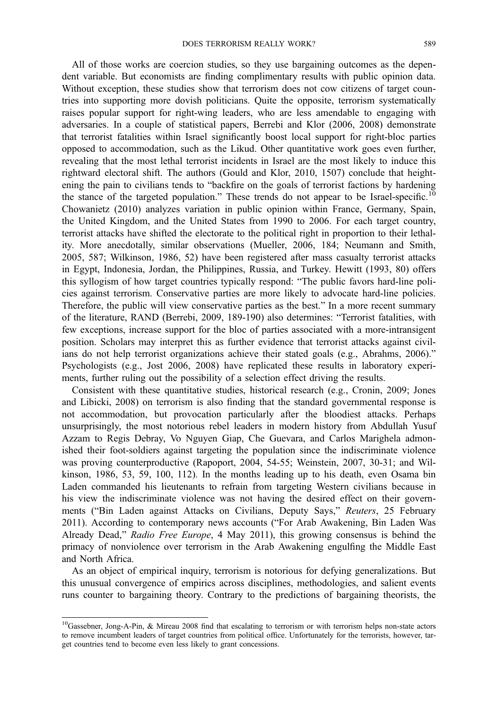All of those works are coercion studies, so they use bargaining outcomes as the dependent variable. But economists are finding complimentary results with public opinion data. Without exception, these studies show that terrorism does not cow citizens of target countries into supporting more dovish politicians. Quite the opposite, terrorism systematically raises popular support for right-wing leaders, who are less amendable to engaging with adversaries. In a couple of statistical papers, Berrebi and Klor (2006, 2008) demonstrate that terrorist fatalities within Israel significantly boost local support for right-bloc parties opposed to accommodation, such as the Likud. Other quantitative work goes even further, revealing that the most lethal terrorist incidents in Israel are the most likely to induce this rightward electoral shift. The authors (Gould and Klor, 2010, 1507) conclude that heightening the pain to civilians tends to "backfire on the goals of terrorist factions by hardening the stance of the targeted population." These trends do not appear to be Israel-specific.<sup>10</sup> Chowanietz (2010) analyzes variation in public opinion within France, Germany, Spain, the United Kingdom, and the United States from 1990 to 2006. For each target country, terrorist attacks have shifted the electorate to the political right in proportion to their lethality. More anecdotally, similar observations (Mueller, 2006, 184; Neumann and Smith, 2005, 587; Wilkinson, 1986, 52) have been registered after mass casualty terrorist attacks in Egypt, Indonesia, Jordan, the Philippines, Russia, and Turkey. Hewitt (1993, 80) offers this syllogism of how target countries typically respond: "The public favors hard-line policies against terrorism. Conservative parties are more likely to advocate hard-line policies. Therefore, the public will view conservative parties as the best." In a more recent summary of the literature, RAND (Berrebi, 2009, 189-190) also determines: "Terrorist fatalities, with few exceptions, increase support for the bloc of parties associated with a more-intransigent position. Scholars may interpret this as further evidence that terrorist attacks against civilians do not help terrorist organizations achieve their stated goals (e.g., Abrahms, 2006)." Psychologists (e.g., Jost 2006, 2008) have replicated these results in laboratory experiments, further ruling out the possibility of a selection effect driving the results.

Consistent with these quantitative studies, historical research (e.g., Cronin, 2009; Jones and Libicki, 2008) on terrorism is also finding that the standard governmental response is not accommodation, but provocation particularly after the bloodiest attacks. Perhaps unsurprisingly, the most notorious rebel leaders in modern history from Abdullah Yusuf Azzam to Regis Debray, Vo Nguyen Giap, Che Guevara, and Carlos Marighela admonished their foot-soldiers against targeting the population since the indiscriminate violence was proving counterproductive (Rapoport, 2004, 54-55; Weinstein, 2007, 30-31; and Wilkinson, 1986, 53, 59, 100, 112). In the months leading up to his death, even Osama bin Laden commanded his lieutenants to refrain from targeting Western civilians because in his view the indiscriminate violence was not having the desired effect on their governments ("Bin Laden against Attacks on Civilians, Deputy Says," Reuters, 25 February 2011). According to contemporary news accounts ("For Arab Awakening, Bin Laden Was Already Dead," Radio Free Europe, 4 May 2011), this growing consensus is behind the primacy of nonviolence over terrorism in the Arab Awakening engulfing the Middle East and North Africa.

As an object of empirical inquiry, terrorism is notorious for defying generalizations. But this unusual convergence of empirics across disciplines, methodologies, and salient events runs counter to bargaining theory. Contrary to the predictions of bargaining theorists, the

<sup>&</sup>lt;sup>10</sup>Gassebner, Jong-A-Pin, & Mireau 2008 find that escalating to terrorism or with terrorism helps non-state actors to remove incumbent leaders of target countries from political office. Unfortunately for the terrorists, however, target countries tend to become even less likely to grant concessions.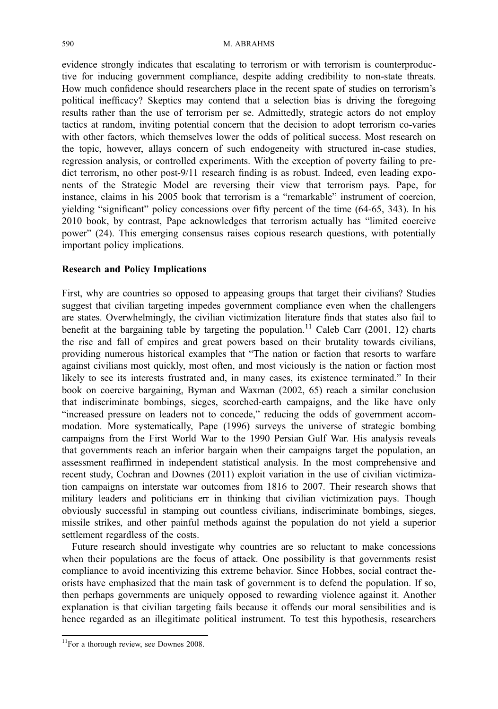evidence strongly indicates that escalating to terrorism or with terrorism is counterproductive for inducing government compliance, despite adding credibility to non-state threats. How much confidence should researchers place in the recent spate of studies on terrorism's political inefficacy? Skeptics may contend that a selection bias is driving the foregoing results rather than the use of terrorism per se. Admittedly, strategic actors do not employ tactics at random, inviting potential concern that the decision to adopt terrorism co-varies with other factors, which themselves lower the odds of political success. Most research on the topic, however, allays concern of such endogeneity with structured in-case studies, regression analysis, or controlled experiments. With the exception of poverty failing to predict terrorism, no other post-9/11 research finding is as robust. Indeed, even leading exponents of the Strategic Model are reversing their view that terrorism pays. Pape, for instance, claims in his 2005 book that terrorism is a "remarkable" instrument of coercion, yielding "significant" policy concessions over fifty percent of the time (64-65, 343). In his 2010 book, by contrast, Pape acknowledges that terrorism actually has "limited coercive power" (24). This emerging consensus raises copious research questions, with potentially important policy implications.

# Research and Policy Implications

First, why are countries so opposed to appeasing groups that target their civilians? Studies suggest that civilian targeting impedes government compliance even when the challengers are states. Overwhelmingly, the civilian victimization literature finds that states also fail to benefit at the bargaining table by targeting the population.<sup>11</sup> Caleb Carr (2001, 12) charts the rise and fall of empires and great powers based on their brutality towards civilians, providing numerous historical examples that "The nation or faction that resorts to warfare against civilians most quickly, most often, and most viciously is the nation or faction most likely to see its interests frustrated and, in many cases, its existence terminated." In their book on coercive bargaining, Byman and Waxman (2002, 65) reach a similar conclusion that indiscriminate bombings, sieges, scorched-earth campaigns, and the like have only "increased pressure on leaders not to concede," reducing the odds of government accommodation. More systematically, Pape (1996) surveys the universe of strategic bombing campaigns from the First World War to the 1990 Persian Gulf War. His analysis reveals that governments reach an inferior bargain when their campaigns target the population, an assessment reaffirmed in independent statistical analysis. In the most comprehensive and recent study, Cochran and Downes (2011) exploit variation in the use of civilian victimization campaigns on interstate war outcomes from 1816 to 2007. Their research shows that military leaders and politicians err in thinking that civilian victimization pays. Though obviously successful in stamping out countless civilians, indiscriminate bombings, sieges, missile strikes, and other painful methods against the population do not yield a superior settlement regardless of the costs.

Future research should investigate why countries are so reluctant to make concessions when their populations are the focus of attack. One possibility is that governments resist compliance to avoid incentivizing this extreme behavior. Since Hobbes, social contract theorists have emphasized that the main task of government is to defend the population. If so, then perhaps governments are uniquely opposed to rewarding violence against it. Another explanation is that civilian targeting fails because it offends our moral sensibilities and is hence regarded as an illegitimate political instrument. To test this hypothesis, researchers

<sup>&</sup>lt;sup>11</sup>For a thorough review, see Downes 2008.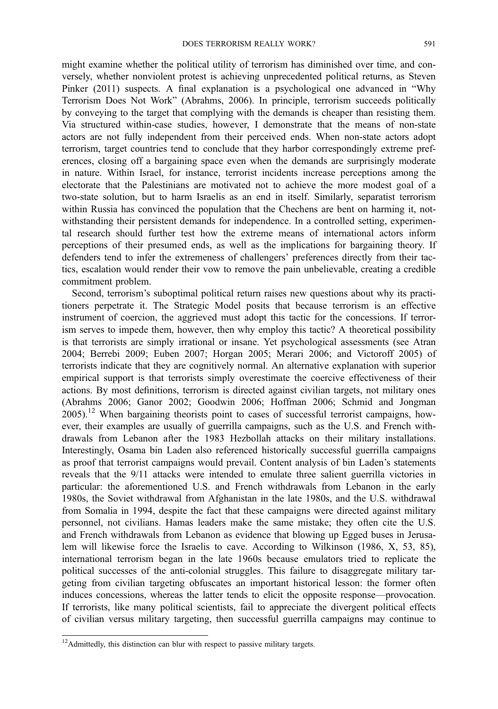might examine whether the political utility of terrorism has diminished over time, and conversely, whether nonviolent protest is achieving unprecedented political returns, as Steven Pinker (2011) suspects. A final explanation is a psychological one advanced in "Why Terrorism Does Not Work" (Abrahms, 2006). In principle, terrorism succeeds politically by conveying to the target that complying with the demands is cheaper than resisting them. Via structured within-case studies, however, I demonstrate that the means of non-state actors are not fully independent from their perceived ends. When non-state actors adopt terrorism, target countries tend to conclude that they harbor correspondingly extreme preferences, closing off a bargaining space even when the demands are surprisingly moderate in nature. Within Israel, for instance, terrorist incidents increase perceptions among the electorate that the Palestinians are motivated not to achieve the more modest goal of a two-state solution, but to harm Israelis as an end in itself. Similarly, separatist terrorism within Russia has convinced the population that the Chechens are bent on harming it, notwithstanding their persistent demands for independence. In a controlled setting, experimental research should further test how the extreme means of international actors inform perceptions of their presumed ends, as well as the implications for bargaining theory. If defenders tend to infer the extremeness of challengers' preferences directly from their tactics, escalation would render their vow to remove the pain unbelievable, creating a credible commitment problem.

Second, terrorism's suboptimal political return raises new questions about why its practitioners perpetrate it. The Strategic Model posits that because terrorism is an effective instrument of coercion, the aggrieved must adopt this tactic for the concessions. If terrorism serves to impede them, however, then why employ this tactic? A theoretical possibility is that terrorists are simply irrational or insane. Yet psychological assessments (see Atran 2004; Berrebi 2009; Euben 2007; Horgan 2005; Merari 2006; and Victoroff 2005) of terrorists indicate that they are cognitively normal. An alternative explanation with superior empirical support is that terrorists simply overestimate the coercive effectiveness of their actions. By most definitions, terrorism is directed against civilian targets, not military ones (Abrahms 2006; Ganor 2002; Goodwin 2006; Hoffman 2006; Schmid and Jongman  $2005$ ).<sup>12</sup> When bargaining theorists point to cases of successful terrorist campaigns, however, their examples are usually of guerrilla campaigns, such as the U.S. and French withdrawals from Lebanon after the 1983 Hezbollah attacks on their military installations. Interestingly, Osama bin Laden also referenced historically successful guerrilla campaigns as proof that terrorist campaigns would prevail. Content analysis of bin Laden's statements reveals that the 9/11 attacks were intended to emulate three salient guerrilla victories in particular: the aforementioned U.S. and French withdrawals from Lebanon in the early 1980s, the Soviet withdrawal from Afghanistan in the late 1980s, and the U.S. withdrawal from Somalia in 1994, despite the fact that these campaigns were directed against military personnel, not civilians. Hamas leaders make the same mistake; they often cite the U.S. and French withdrawals from Lebanon as evidence that blowing up Egged buses in Jerusalem will likewise force the Israelis to cave. According to Wilkinson (1986, X, 53, 85), international terrorism began in the late 1960s because emulators tried to replicate the political successes of the anti-colonial struggles. This failure to disaggregate military targeting from civilian targeting obfuscates an important historical lesson: the former often induces concessions, whereas the latter tends to elicit the opposite response—provocation. If terrorists, like many political scientists, fail to appreciate the divergent political effects of civilian versus military targeting, then successful guerrilla campaigns may continue to

<sup>&</sup>lt;sup>12</sup>Admittedly, this distinction can blur with respect to passive military targets.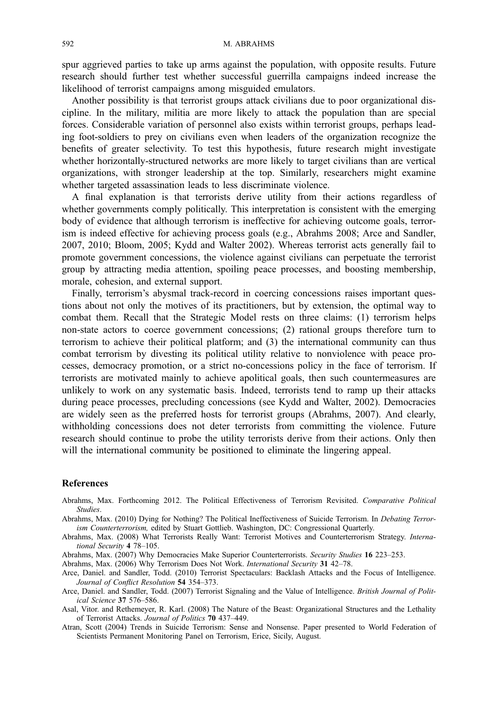spur aggrieved parties to take up arms against the population, with opposite results. Future research should further test whether successful guerrilla campaigns indeed increase the likelihood of terrorist campaigns among misguided emulators.

Another possibility is that terrorist groups attack civilians due to poor organizational discipline. In the military, militia are more likely to attack the population than are special forces. Considerable variation of personnel also exists within terrorist groups, perhaps leading foot-soldiers to prey on civilians even when leaders of the organization recognize the benefits of greater selectivity. To test this hypothesis, future research might investigate whether horizontally-structured networks are more likely to target civilians than are vertical organizations, with stronger leadership at the top. Similarly, researchers might examine whether targeted assassination leads to less discriminate violence.

A final explanation is that terrorists derive utility from their actions regardless of whether governments comply politically. This interpretation is consistent with the emerging body of evidence that although terrorism is ineffective for achieving outcome goals, terrorism is indeed effective for achieving process goals (e.g., Abrahms 2008; Arce and Sandler, 2007, 2010; Bloom, 2005; Kydd and Walter 2002). Whereas terrorist acts generally fail to promote government concessions, the violence against civilians can perpetuate the terrorist group by attracting media attention, spoiling peace processes, and boosting membership, morale, cohesion, and external support.

Finally, terrorism's abysmal track-record in coercing concessions raises important questions about not only the motives of its practitioners, but by extension, the optimal way to combat them. Recall that the Strategic Model rests on three claims: (1) terrorism helps non-state actors to coerce government concessions; (2) rational groups therefore turn to terrorism to achieve their political platform; and (3) the international community can thus combat terrorism by divesting its political utility relative to nonviolence with peace processes, democracy promotion, or a strict no-concessions policy in the face of terrorism. If terrorists are motivated mainly to achieve apolitical goals, then such countermeasures are unlikely to work on any systematic basis. Indeed, terrorists tend to ramp up their attacks during peace processes, precluding concessions (see Kydd and Walter, 2002). Democracies are widely seen as the preferred hosts for terrorist groups (Abrahms, 2007). And clearly, withholding concessions does not deter terrorists from committing the violence. Future research should continue to probe the utility terrorists derive from their actions. Only then will the international community be positioned to eliminate the lingering appeal.

### References

- Abrahms, Max. Forthcoming 2012. The Political Effectiveness of Terrorism Revisited. Comparative Political Studies.
- Abrahms, Max. (2010) Dying for Nothing? The Political Ineffectiveness of Suicide Terrorism. In Debating Terrorism Counterterrorism, edited by Stuart Gottlieb. Washington, DC: Congressional Quarterly.
- Abrahms, Max. (2008) What Terrorists Really Want: Terrorist Motives and Counterterrorism Strategy. International Security 4 78–105.
- Abrahms, Max. (2007) Why Democracies Make Superior Counterterrorists. Security Studies 16 223–253.
- Abrahms, Max. (2006) Why Terrorism Does Not Work. International Security 31 42–78.
- Arce, Daniel. and Sandler, Todd. (2010) Terrorist Spectaculars: Backlash Attacks and the Focus of Intelligence. Journal of Conflict Resolution 54 354-373.
- Arce, Daniel. and Sandler, Todd. (2007) Terrorist Signaling and the Value of Intelligence. British Journal of Political Science 37 576–586.
- Asal, Vitor. and Rethemeyer, R. Karl. (2008) The Nature of the Beast: Organizational Structures and the Lethality of Terrorist Attacks. Journal of Politics 70 437–449.
- Atran, Scott (2004) Trends in Suicide Terrorism: Sense and Nonsense. Paper presented to World Federation of Scientists Permanent Monitoring Panel on Terrorism, Erice, Sicily, August.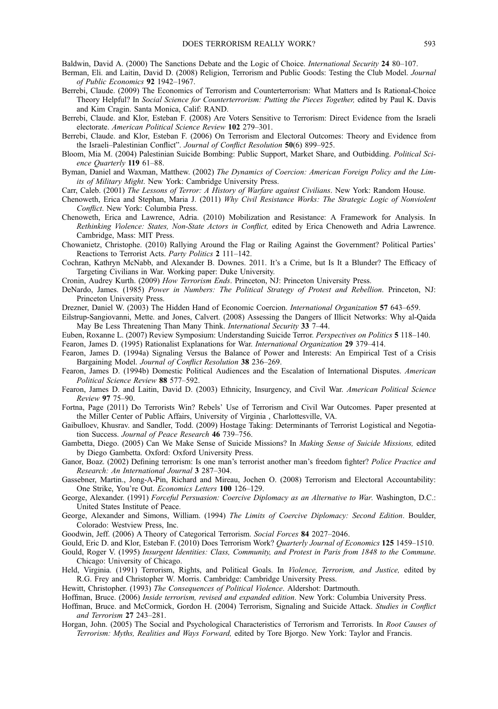Baldwin, David A. (2000) The Sanctions Debate and the Logic of Choice. *International Security* 24 80–107.

- Berman, Eli. and Laitin, David D. (2008) Religion, Terrorism and Public Goods: Testing the Club Model. Journal of Public Economics 92 1942–1967.
- Berrebi, Claude. (2009) The Economics of Terrorism and Counterterrorism: What Matters and Is Rational-Choice Theory Helpful? In Social Science for Counterterrorism: Putting the Pieces Together, edited by Paul K. Davis and Kim Cragin. Santa Monica, Calif: RAND.
- Berrebi, Claude. and Klor, Esteban F. (2008) Are Voters Sensitive to Terrorism: Direct Evidence from the Israeli electorate. American Political Science Review 102 279–301.
- Berrebi, Claude. and Klor, Esteban F. (2006) On Terrorism and Electoral Outcomes: Theory and Evidence from the Israeli-Palestinian Conflict". Journal of Conflict Resolution 50(6) 899-925.
- Bloom, Mia M. (2004) Palestinian Suicide Bombing: Public Support, Market Share, and Outbidding. Political Science Quarterly 119 61–88.
- Byman, Daniel and Waxman, Matthew. (2002) The Dynamics of Coercion: American Foreign Policy and the Limits of Military Might. New York: Cambridge University Press.
- Carr, Caleb. (2001) The Lessons of Terror: A History of Warfare against Civilians. New York: Random House.
- Chenoweth, Erica and Stephan, Maria J. (2011) Why Civil Resistance Works: The Strategic Logic of Nonviolent Conflict. New York: Columbia Press.
- Chenoweth, Erica and Lawrence, Adria. (2010) Mobilization and Resistance: A Framework for Analysis. In Rethinking Violence: States, Non-State Actors in Conflict, edited by Erica Chenoweth and Adria Lawrence. Cambridge, Mass: MIT Press.
- Chowanietz, Christophe. (2010) Rallying Around the Flag or Railing Against the Government? Political Parties' Reactions to Terrorist Acts. Party Politics 2 111–142.
- Cochran, Kathryn McNabb, and Alexander B. Downes. 2011. It's a Crime, but Is It a Blunder? The Efficacy of Targeting Civilians in War. Working paper: Duke University.
- Cronin, Audrey Kurth. (2009) How Terrorism Ends. Princeton, NJ: Princeton University Press.
- DeNardo, James. (1985) Power in Numbers: The Political Strategy of Protest and Rebellion. Princeton, NJ: Princeton University Press.
- Drezner, Daniel W. (2003) The Hidden Hand of Economic Coercion. International Organization 57 643–659.

Eilstrup-Sangiovanni, Mette. and Jones, Calvert. (2008) Assessing the Dangers of Illicit Networks: Why al-Qaida May Be Less Threatening Than Many Think. *International Security* 33 7–44.

Euben, Roxanne L. (2007) Review Symposium: Understanding Suicide Terror. Perspectives on Politics 5 118–140.

Fearon, James D. (1995) Rationalist Explanations for War. International Organization 29 379–414.

- Fearon, James D. (1994a) Signaling Versus the Balance of Power and Interests: An Empirical Test of a Crisis Bargaining Model. Journal of Conflict Resolution 38 236–269.
- Fearon, James D. (1994b) Domestic Political Audiences and the Escalation of International Disputes. American Political Science Review 88 577–592.
- Fearon, James D. and Laitin, David D. (2003) Ethnicity, Insurgency, and Civil War. American Political Science Review 97 75–90.
- Fortna, Page (2011) Do Terrorists Win? Rebels' Use of Terrorism and Civil War Outcomes. Paper presented at the Miller Center of Public Affairs, University of Virginia , Charlottesville, VA.
- Gaibulloev, Khusrav. and Sandler, Todd. (2009) Hostage Taking: Determinants of Terrorist Logistical and Negotiation Success. Journal of Peace Research 46 739–756.
- Gambetta, Diego. (2005) Can We Make Sense of Suicide Missions? In Making Sense of Suicide Missions, edited by Diego Gambetta. Oxford: Oxford University Press.
- Ganor, Boaz. (2002) Defining terrorism: Is one man's terrorist another man's freedom fighter? Police Practice and Research: An International Journal 3 287–304.
- Gassebner, Martin., Jong-A-Pin, Richard and Mireau, Jochen O. (2008) Terrorism and Electoral Accountability: One Strike, You're Out. Economics Letters 100 126–129.
- George, Alexander. (1991) Forceful Persuasion: Coercive Diplomacy as an Alternative to War. Washington, D.C.: United States Institute of Peace.
- George, Alexander and Simons, William. (1994) The Limits of Coercive Diplomacy: Second Edition. Boulder, Colorado: Westview Press, Inc.
- Goodwin, Jeff. (2006) A Theory of Categorical Terrorism. Social Forces 84 2027–2046.
- Gould, Eric D. and Klor, Esteban F. (2010) Does Terrorism Work? Quarterly Journal of Economics 125 1459–1510. Gould, Roger V. (1995) Insurgent Identities: Class, Community, and Protest in Paris from 1848 to the Commune.
- Chicago: University of Chicago.
- Held, Virginia. (1991) Terrorism, Rights, and Political Goals. In Violence, Terrorism, and Justice, edited by R.G. Frey and Christopher W. Morris. Cambridge: Cambridge University Press.
- Hewitt, Christopher. (1993) The Consequences of Political Violence. Aldershot: Dartmouth.
- Hoffman, Bruce. (2006) Inside terrorism, revised and expanded edition. New York: Columbia University Press.
- Hoffman, Bruce. and McCormick, Gordon H. (2004) Terrorism, Signaling and Suicide Attack. Studies in Conflict and Terrorism 27 243–281.
- Horgan, John. (2005) The Social and Psychological Characteristics of Terrorism and Terrorists. In Root Causes of Terrorism: Myths, Realities and Ways Forward, edited by Tore Bjorgo. New York: Taylor and Francis.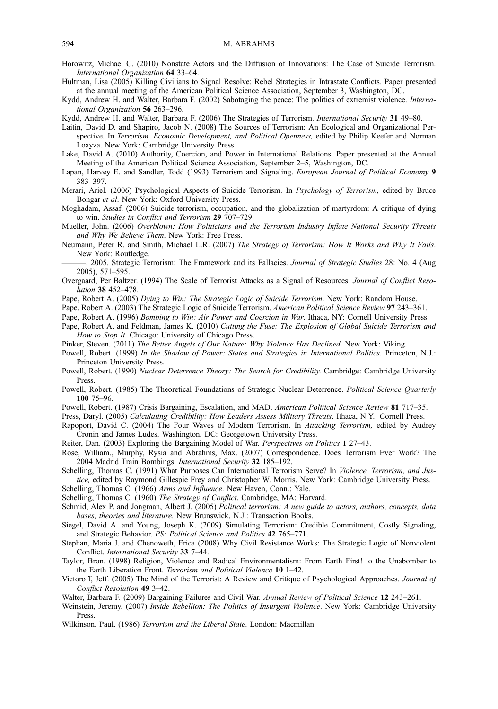- Horowitz, Michael C. (2010) Nonstate Actors and the Diffusion of Innovations: The Case of Suicide Terrorism. International Organization 64 33–64.
- Hultman, Lisa (2005) Killing Civilians to Signal Resolve: Rebel Strategies in Intrastate Conflicts. Paper presented at the annual meeting of the American Political Science Association, September 3, Washington, DC.
- Kydd, Andrew H. and Walter, Barbara F. (2002) Sabotaging the peace: The politics of extremist violence. International Organization 56 263–296.
- Kydd, Andrew H. and Walter, Barbara F. (2006) The Strategies of Terrorism. International Security 31 49–80.
- Laitin, David D. and Shapiro, Jacob N. (2008) The Sources of Terrorism: An Ecological and Organizational Perspective. In Terrorism, Economic Development, and Political Openness, edited by Philip Keefer and Norman Loayza. New York: Cambridge University Press.
- Lake, David A. (2010) Authority, Coercion, and Power in International Relations. Paper presented at the Annual Meeting of the American Political Science Association, September 2–5, Washington, DC.
- Lapan, Harvey E. and Sandler, Todd (1993) Terrorism and Signaling. *European Journal of Political Economy* 9 383–397.
- Merari, Ariel. (2006) Psychological Aspects of Suicide Terrorism. In Psychology of Terrorism, edited by Bruce Bongar et al. New York: Oxford University Press.
- Moghadam, Assaf. (2006) Suicide terrorism, occupation, and the globalization of martyrdom: A critique of dying to win. Studies in Conflict and Terrorism 29 707–729.
- Mueller, John. (2006) Overblown: How Politicians and the Terrorism Industry Inflate National Security Threats and Why We Believe Them. New York: Free Press.
- Neumann, Peter R. and Smith, Michael L.R. (2007) The Strategy of Terrorism: How It Works and Why It Fails. New York: Routledge.
- -, 2005. Strategic Terrorism: The Framework and its Fallacies. Journal of Strategic Studies 28: No. 4 (Aug 2005), 571–595.
- Overgaard, Per Baltzer. (1994) The Scale of Terrorist Attacks as a Signal of Resources. Journal of Conflict Resolution 38 452–478.
- Pape, Robert A. (2005) Dying to Win: The Strategic Logic of Suicide Terrorism. New York: Random House.
- Pape, Robert A. (2003) The Strategic Logic of Suicide Terrorism. American Political Science Review 97 243–361.
- Pape, Robert A. (1996) Bombing to Win: Air Power and Coercion in War. Ithaca, NY: Cornell University Press.
- Pape, Robert A. and Feldman, James K. (2010) Cutting the Fuse: The Explosion of Global Suicide Terrorism and How to Stop It. Chicago: University of Chicago Press.
- Pinker, Steven. (2011) The Better Angels of Our Nature: Why Violence Has Declined. New York: Viking.
- Powell, Robert. (1999) In the Shadow of Power: States and Strategies in International Politics. Princeton, N.J.: Princeton University Press.
- Powell, Robert. (1990) Nuclear Deterrence Theory: The Search for Credibility. Cambridge: Cambridge University Press.
- Powell, Robert. (1985) The Theoretical Foundations of Strategic Nuclear Deterrence. Political Science Quarterly 100 75–96.
- Powell, Robert. (1987) Crisis Bargaining, Escalation, and MAD. American Political Science Review 81 717-35.
- Press, Daryl. (2005) Calculating Credibility: How Leaders Assess Military Threats. Ithaca, N.Y.: Cornell Press.
- Rapoport, David C. (2004) The Four Waves of Modern Terrorism. In Attacking Terrorism, edited by Audrey Cronin and James Ludes. Washington, DC: Georgetown University Press.
- Reiter, Dan. (2003) Exploring the Bargaining Model of War. Perspectives on Politics 1 27–43.
- Rose, William., Murphy, Rysia and Abrahms, Max. (2007) Correspondence. Does Terrorism Ever Work? The 2004 Madrid Train Bombings. International Security 32 185–192.
- Schelling, Thomas C. (1991) What Purposes Can International Terrorism Serve? In *Violence, Terrorism, and Jus*tice, edited by Raymond Gillespie Frey and Christopher W. Morris. New York: Cambridge University Press.
- Schelling, Thomas C. (1966) Arms and Influence. New Haven, Conn.: Yale.
- Schelling, Thomas C. (1960) The Strategy of Conflict. Cambridge, MA: Harvard.
- Schmid, Alex P. and Jongman, Albert J. (2005) Political terrorism: A new guide to actors, authors, concepts, data bases, theories and literature. New Brunswick, N.J.: Transaction Books.
- Siegel, David A. and Young, Joseph K. (2009) Simulating Terrorism: Credible Commitment, Costly Signaling, and Strategic Behavior. PS: Political Science and Politics 42 765–771.
- Stephan, Maria J. and Chenoweth, Erica (2008) Why Civil Resistance Works: The Strategic Logic of Nonviolent Conflict. International Security 33 7–44.
- Taylor, Bron. (1998) Religion, Violence and Radical Environmentalism: From Earth First! to the Unabomber to the Earth Liberation Front. Terrorism and Political Violence 10 1–42.
- Victoroff, Jeff. (2005) The Mind of the Terrorist: A Review and Critique of Psychological Approaches. Journal of Conflict Resolution 49 3–42.
- Walter, Barbara F. (2009) Bargaining Failures and Civil War. Annual Review of Political Science 12 243–261.
- Weinstein, Jeremy. (2007) Inside Rebellion: The Politics of Insurgent Violence. New York: Cambridge University Press.
- Wilkinson, Paul. (1986) Terrorism and the Liberal State. London: Macmillan.